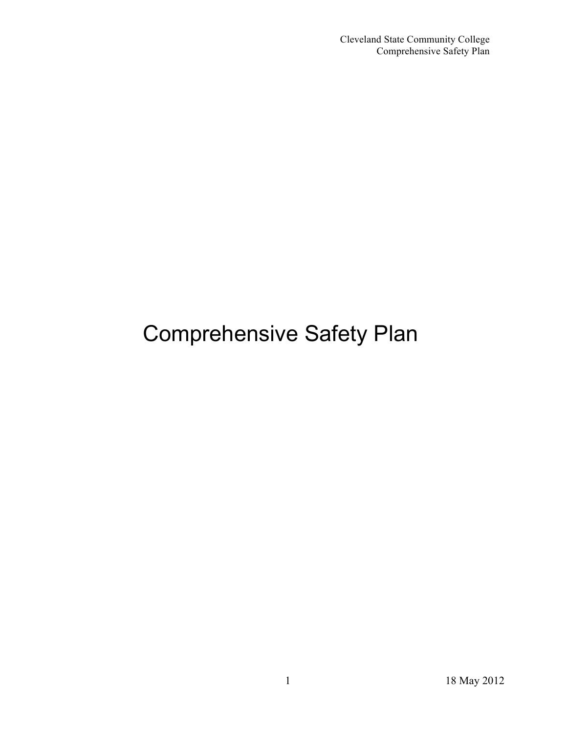# Comprehensive Safety Plan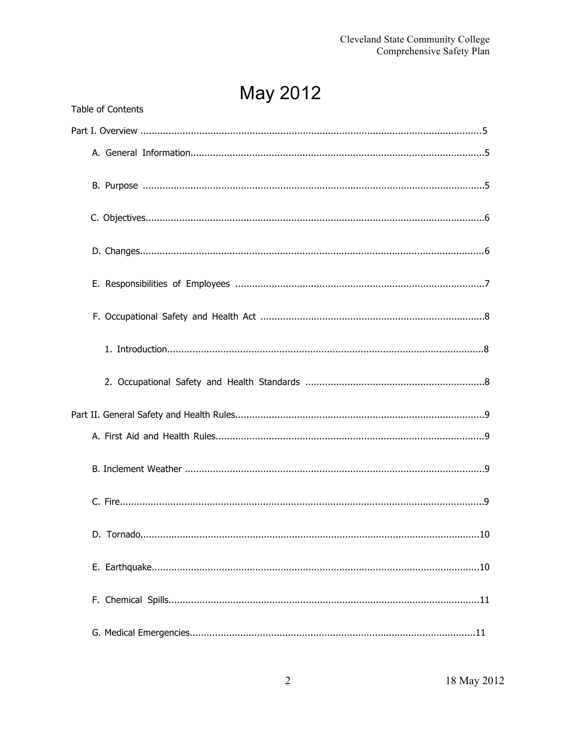May 2012

| Table of Contents |  |  |
|-------------------|--|--|
|                   |  |  |
|                   |  |  |
|                   |  |  |
|                   |  |  |
|                   |  |  |
|                   |  |  |
|                   |  |  |
|                   |  |  |
|                   |  |  |
|                   |  |  |
|                   |  |  |
|                   |  |  |
|                   |  |  |
|                   |  |  |
|                   |  |  |
|                   |  |  |
|                   |  |  |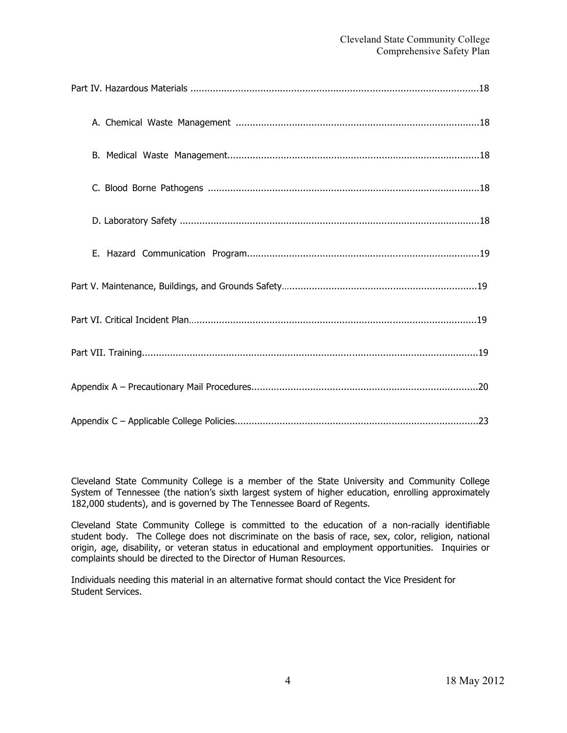Cleveland State Community College is a member of the State University and Community College System of Tennessee (the nation's sixth largest system of higher education, enrolling approximately 182,000 students), and is governed by The Tennessee Board of Regents.

Cleveland State Community College is committed to the education of a non-racially identifiable student body. The College does not discriminate on the basis of race, sex, color, religion, national origin, age, disability, or veteran status in educational and employment opportunities. Inquiries or complaints should be directed to the Director of Human Resources.

Individuals needing this material in an alternative format should contact the Vice President for Student Services.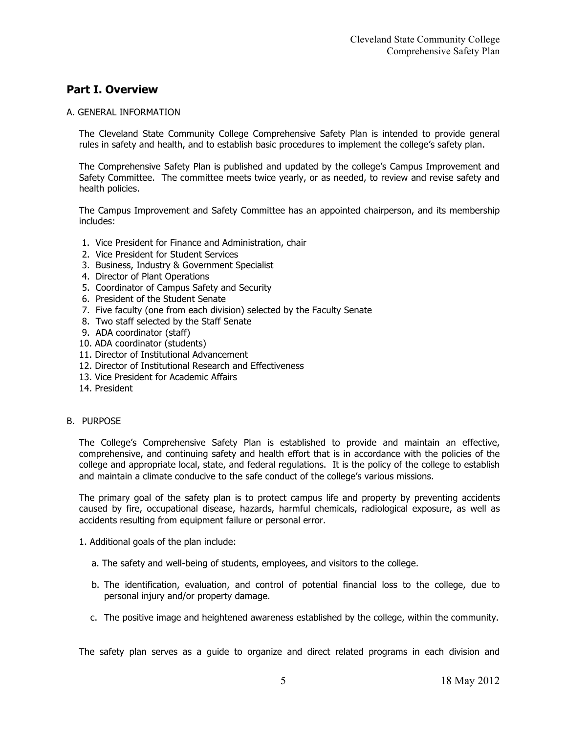### **Part I. Overview**

#### A. GENERAL INFORMATION

The Cleveland State Community College Comprehensive Safety Plan is intended to provide general rules in safety and health, and to establish basic procedures to implement the college's safety plan.

The Comprehensive Safety Plan is published and updated by the college's Campus Improvement and Safety Committee. The committee meets twice yearly, or as needed, to review and revise safety and health policies.

The Campus Improvement and Safety Committee has an appointed chairperson, and its membership includes:

- 1. Vice President for Finance and Administration, chair
- 2. Vice President for Student Services
- 3. Business, Industry & Government Specialist
- 4. Director of Plant Operations
- 5. Coordinator of Campus Safety and Security
- 6. President of the Student Senate
- 7. Five faculty (one from each division) selected by the Faculty Senate
- 8. Two staff selected by the Staff Senate
- 9. ADA coordinator (staff)
- 10. ADA coordinator (students)
- 11. Director of Institutional Advancement
- 12. Director of Institutional Research and Effectiveness
- 13. Vice President for Academic Affairs
- 14. President

#### B. PURPOSE

The College's Comprehensive Safety Plan is established to provide and maintain an effective, comprehensive, and continuing safety and health effort that is in accordance with the policies of the college and appropriate local, state, and federal regulations. It is the policy of the college to establish and maintain a climate conducive to the safe conduct of the college's various missions.

The primary goal of the safety plan is to protect campus life and property by preventing accidents caused by fire, occupational disease, hazards, harmful chemicals, radiological exposure, as well as accidents resulting from equipment failure or personal error.

- 1. Additional goals of the plan include:
	- a. The safety and well-being of students, employees, and visitors to the college.
	- b. The identification, evaluation, and control of potential financial loss to the college, due to personal injury and/or property damage.
	- c. The positive image and heightened awareness established by the college, within the community.

The safety plan serves as a guide to organize and direct related programs in each division and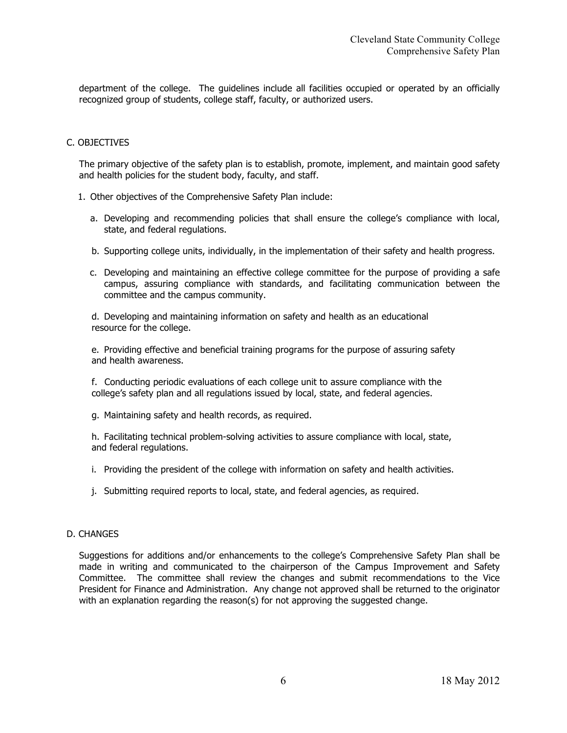department of the college. The guidelines include all facilities occupied or operated by an officially recognized group of students, college staff, faculty, or authorized users.

#### C. OBJECTIVES

The primary objective of the safety plan is to establish, promote, implement, and maintain good safety and health policies for the student body, faculty, and staff.

- 1. Other objectives of the Comprehensive Safety Plan include:
	- a. Developing and recommending policies that shall ensure the college's compliance with local, state, and federal regulations.
	- b. Supporting college units, individually, in the implementation of their safety and health progress.
	- c. Developing and maintaining an effective college committee for the purpose of providing a safe campus, assuring compliance with standards, and facilitating communication between the committee and the campus community.

d. Developing and maintaining information on safety and health as an educational resource for the college.

e. Providing effective and beneficial training programs for the purpose of assuring safety and health awareness.

f. Conducting periodic evaluations of each college unit to assure compliance with the college's safety plan and all regulations issued by local, state, and federal agencies.

g. Maintaining safety and health records, as required.

h. Facilitating technical problem-solving activities to assure compliance with local, state, and federal regulations.

- i. Providing the president of the college with information on safety and health activities.
- j. Submitting required reports to local, state, and federal agencies, as required.

#### D. CHANGES

Suggestions for additions and/or enhancements to the college's Comprehensive Safety Plan shall be made in writing and communicated to the chairperson of the Campus Improvement and Safety Committee. The committee shall review the changes and submit recommendations to the Vice President for Finance and Administration. Any change not approved shall be returned to the originator with an explanation regarding the reason(s) for not approving the suggested change.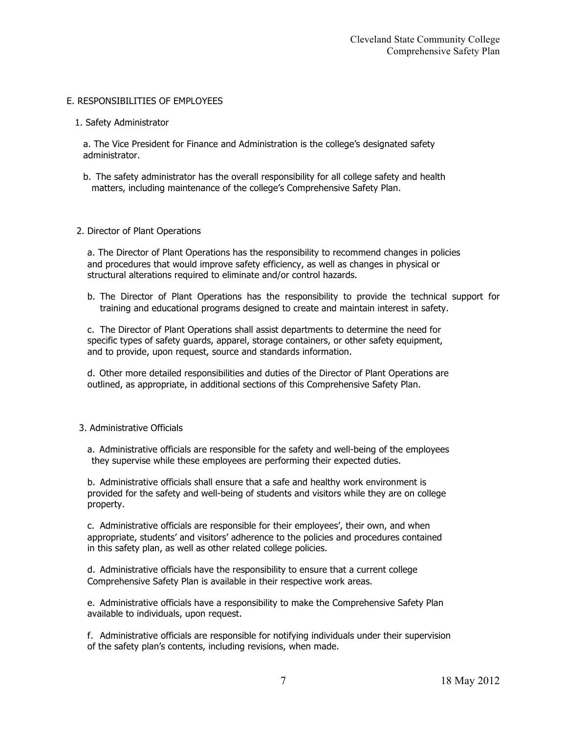#### E. RESPONSIBILITIES OF EMPLOYEES

1. Safety Administrator

a. The Vice President for Finance and Administration is the college's designated safety administrator.

b. The safety administrator has the overall responsibility for all college safety and health matters, including maintenance of the college's Comprehensive Safety Plan.

#### 2. Director of Plant Operations

a. The Director of Plant Operations has the responsibility to recommend changes in policies and procedures that would improve safety efficiency, as well as changes in physical or structural alterations required to eliminate and/or control hazards.

b. The Director of Plant Operations has the responsibility to provide the technical support for training and educational programs designed to create and maintain interest in safety.

c. The Director of Plant Operations shall assist departments to determine the need for specific types of safety guards, apparel, storage containers, or other safety equipment, and to provide, upon request, source and standards information.

d. Other more detailed responsibilities and duties of the Director of Plant Operations are outlined, as appropriate, in additional sections of this Comprehensive Safety Plan.

#### 3. Administrative Officials

a. Administrative officials are responsible for the safety and well-being of the employees they supervise while these employees are performing their expected duties.

b. Administrative officials shall ensure that a safe and healthy work environment is provided for the safety and well-being of students and visitors while they are on college property.

c. Administrative officials are responsible for their employees', their own, and when appropriate, students' and visitors' adherence to the policies and procedures contained in this safety plan, as well as other related college policies.

d. Administrative officials have the responsibility to ensure that a current college Comprehensive Safety Plan is available in their respective work areas.

e. Administrative officials have a responsibility to make the Comprehensive Safety Plan available to individuals, upon request.

f. Administrative officials are responsible for notifying individuals under their supervision of the safety plan's contents, including revisions, when made.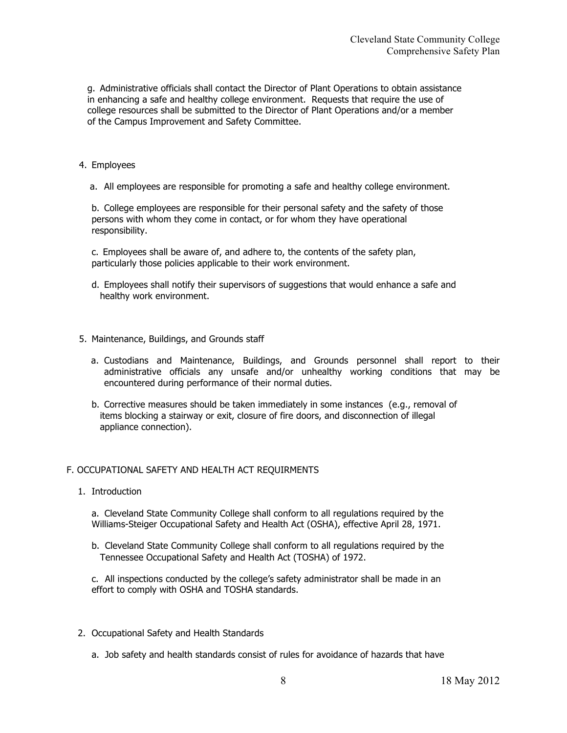g. Administrative officials shall contact the Director of Plant Operations to obtain assistance in enhancing a safe and healthy college environment. Requests that require the use of college resources shall be submitted to the Director of Plant Operations and/or a member of the Campus Improvement and Safety Committee.

#### 4. Employees

a. All employees are responsible for promoting a safe and healthy college environment.

b. College employees are responsible for their personal safety and the safety of those persons with whom they come in contact, or for whom they have operational responsibility.

c. Employees shall be aware of, and adhere to, the contents of the safety plan, particularly those policies applicable to their work environment.

- d. Employees shall notify their supervisors of suggestions that would enhance a safe and healthy work environment.
- 5. Maintenance, Buildings, and Grounds staff
	- a. Custodians and Maintenance, Buildings, and Grounds personnel shall report to their administrative officials any unsafe and/or unhealthy working conditions that may be encountered during performance of their normal duties.
	- b. Corrective measures should be taken immediately in some instances (e.g., removal of items blocking a stairway or exit, closure of fire doors, and disconnection of illegal appliance connection).

#### F. OCCUPATIONAL SAFETY AND HEALTH ACT REQUIRMENTS

1. Introduction

a. Cleveland State Community College shall conform to all regulations required by the Williams-Steiger Occupational Safety and Health Act (OSHA), effective April 28, 1971.

b. Cleveland State Community College shall conform to all regulations required by the Tennessee Occupational Safety and Health Act (TOSHA) of 1972.

c. All inspections conducted by the college's safety administrator shall be made in an effort to comply with OSHA and TOSHA standards.

- 2. Occupational Safety and Health Standards
	- a. Job safety and health standards consist of rules for avoidance of hazards that have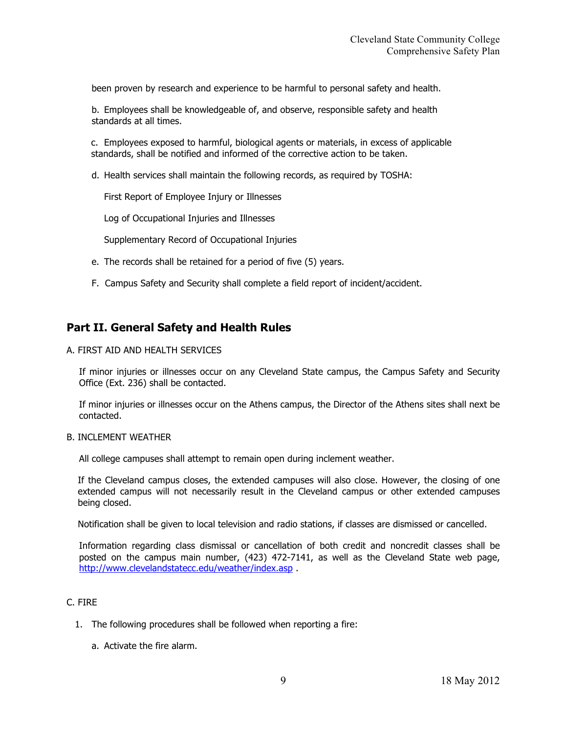been proven by research and experience to be harmful to personal safety and health.

b. Employees shall be knowledgeable of, and observe, responsible safety and health standards at all times.

c. Employees exposed to harmful, biological agents or materials, in excess of applicable standards, shall be notified and informed of the corrective action to be taken.

d. Health services shall maintain the following records, as required by TOSHA:

First Report of Employee Injury or Illnesses

Log of Occupational Injuries and Illnesses

Supplementary Record of Occupational Injuries

- e. The records shall be retained for a period of five (5) years.
- F. Campus Safety and Security shall complete a field report of incident/accident.

## **Part II. General Safety and Health Rules**

A. FIRST AID AND HEALTH SERVICES

If minor injuries or illnesses occur on any Cleveland State campus, the Campus Safety and Security Office (Ext. 236) shall be contacted.

If minor injuries or illnesses occur on the Athens campus, the Director of the Athens sites shall next be contacted.

#### B. INCLEMENT WEATHER

All college campuses shall attempt to remain open during inclement weather.

If the Cleveland campus closes, the extended campuses will also close. However, the closing of one extended campus will not necessarily result in the Cleveland campus or other extended campuses being closed.

Notification shall be given to local television and radio stations, if classes are dismissed or cancelled.

Information regarding class dismissal or cancellation of both credit and noncredit classes shall be posted on the campus main number, (423) 472-7141, as well as the Cleveland State web page, http://www.clevelandstatecc.edu/weather/index.asp .

#### C. FIRE

- 1. The following procedures shall be followed when reporting a fire:
	- a. Activate the fire alarm.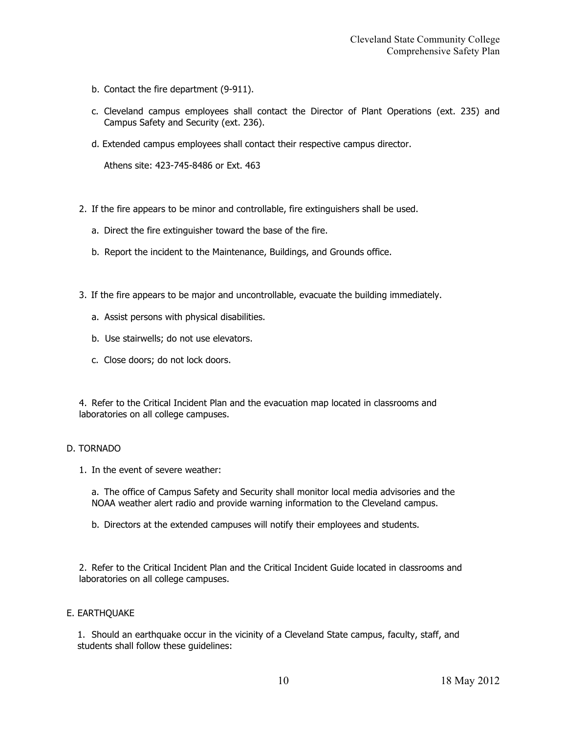- b. Contact the fire department (9-911).
- c. Cleveland campus employees shall contact the Director of Plant Operations (ext. 235) and Campus Safety and Security (ext. 236).
- d. Extended campus employees shall contact their respective campus director.

Athens site: 423-745-8486 or Ext. 463

- 2. If the fire appears to be minor and controllable, fire extinguishers shall be used.
	- a. Direct the fire extinguisher toward the base of the fire.
	- b. Report the incident to the Maintenance, Buildings, and Grounds office.
- 3. If the fire appears to be major and uncontrollable, evacuate the building immediately.
	- a. Assist persons with physical disabilities.
	- b. Use stairwells; do not use elevators.
	- c. Close doors; do not lock doors.

4. Refer to the Critical Incident Plan and the evacuation map located in classrooms and laboratories on all college campuses.

#### D. TORNADO

1. In the event of severe weather:

a. The office of Campus Safety and Security shall monitor local media advisories and the NOAA weather alert radio and provide warning information to the Cleveland campus.

b. Directors at the extended campuses will notify their employees and students.

2. Refer to the Critical Incident Plan and the Critical Incident Guide located in classrooms and laboratories on all college campuses.

#### E. EARTHQUAKE

1. Should an earthquake occur in the vicinity of a Cleveland State campus, faculty, staff, and students shall follow these guidelines: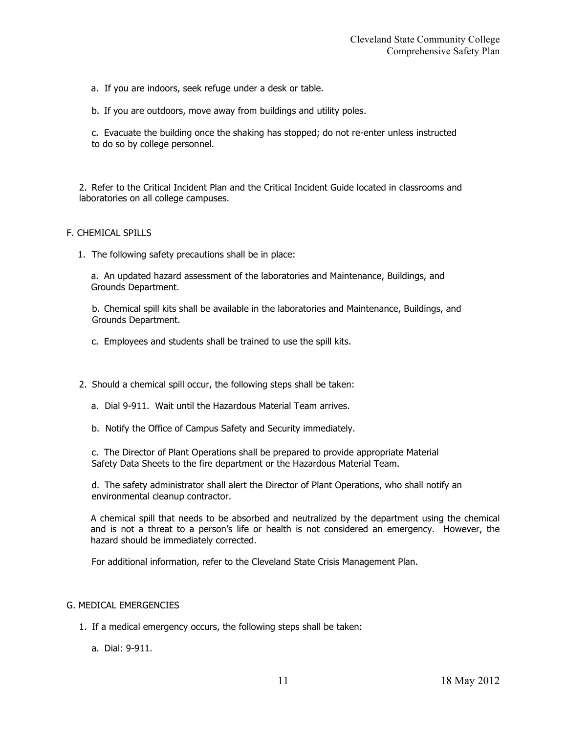a. If you are indoors, seek refuge under a desk or table.

b. If you are outdoors, move away from buildings and utility poles.

c. Evacuate the building once the shaking has stopped; do not re-enter unless instructed to do so by college personnel.

2. Refer to the Critical Incident Plan and the Critical Incident Guide located in classrooms and laboratories on all college campuses.

#### F. CHEMICAL SPILLS

1. The following safety precautions shall be in place:

a. An updated hazard assessment of the laboratories and Maintenance, Buildings, and Grounds Department.

b. Chemical spill kits shall be available in the laboratories and Maintenance, Buildings, and Grounds Department.

c. Employees and students shall be trained to use the spill kits.

- 2. Should a chemical spill occur, the following steps shall be taken:
	- a. Dial 9-911. Wait until the Hazardous Material Team arrives.
	- b. Notify the Office of Campus Safety and Security immediately.

c. The Director of Plant Operations shall be prepared to provide appropriate Material Safety Data Sheets to the fire department or the Hazardous Material Team.

d. The safety administrator shall alert the Director of Plant Operations, who shall notify an environmental cleanup contractor.

A chemical spill that needs to be absorbed and neutralized by the department using the chemical and is not a threat to a person's life or health is not considered an emergency. However, the hazard should be immediately corrected.

For additional information, refer to the Cleveland State Crisis Management Plan.

#### G. MEDICAL EMERGENCIES

- 1. If a medical emergency occurs, the following steps shall be taken:
	- a. Dial: 9-911.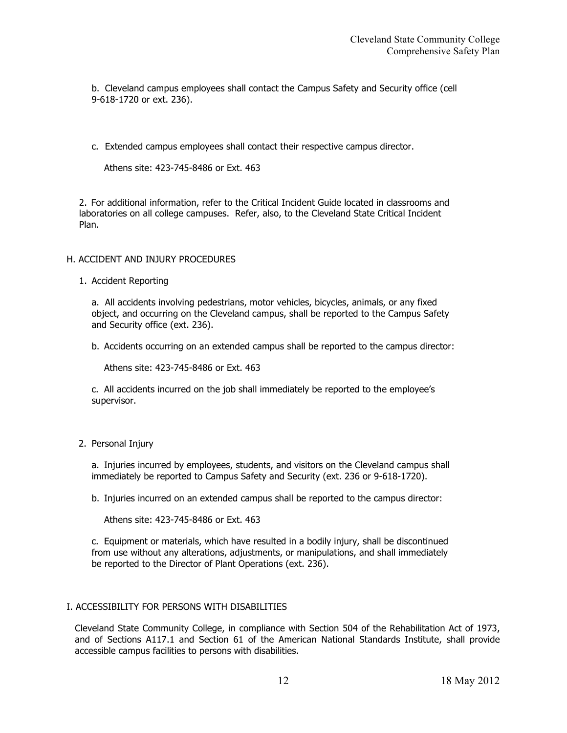b. Cleveland campus employees shall contact the Campus Safety and Security office (cell 9-618-1720 or ext. 236).

c. Extended campus employees shall contact their respective campus director.

Athens site: 423-745-8486 or Ext. 463

2. For additional information, refer to the Critical Incident Guide located in classrooms and laboratories on all college campuses. Refer, also, to the Cleveland State Critical Incident Plan.

#### H. ACCIDENT AND INJURY PROCEDURES

1. Accident Reporting

a. All accidents involving pedestrians, motor vehicles, bicycles, animals, or any fixed object, and occurring on the Cleveland campus, shall be reported to the Campus Safety and Security office (ext. 236).

b. Accidents occurring on an extended campus shall be reported to the campus director:

Athens site: 423-745-8486 or Ext. 463

c. All accidents incurred on the job shall immediately be reported to the employee's supervisor.

#### 2. Personal Injury

a. Injuries incurred by employees, students, and visitors on the Cleveland campus shall immediately be reported to Campus Safety and Security (ext. 236 or 9-618-1720).

b. Injuries incurred on an extended campus shall be reported to the campus director:

Athens site: 423-745-8486 or Ext. 463

c. Equipment or materials, which have resulted in a bodily injury, shall be discontinued from use without any alterations, adjustments, or manipulations, and shall immediately be reported to the Director of Plant Operations (ext. 236).

#### I. ACCESSIBILITY FOR PERSONS WITH DISABILITIES

Cleveland State Community College, in compliance with Section 504 of the Rehabilitation Act of 1973, and of Sections A117.1 and Section 61 of the American National Standards Institute, shall provide accessible campus facilities to persons with disabilities.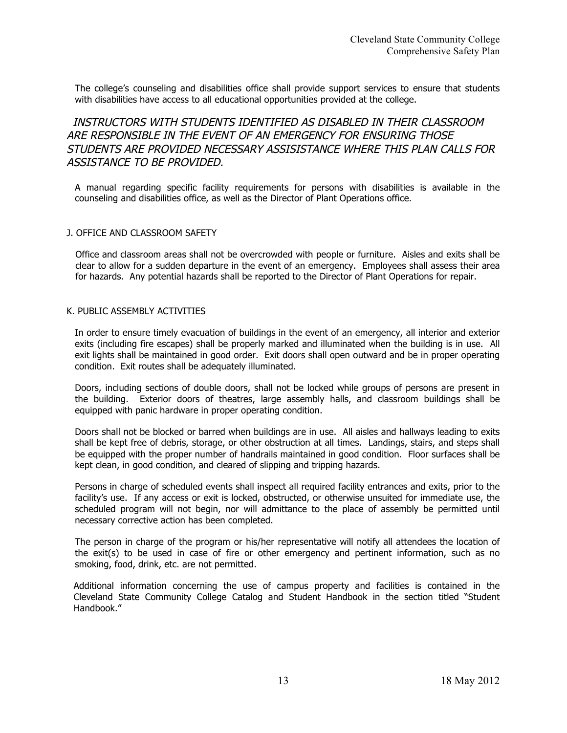The college's counseling and disabilities office shall provide support services to ensure that students with disabilities have access to all educational opportunities provided at the college.

## INSTRUCTORS WITH STUDENTS IDENTIFIED AS DISABLED IN THEIR CLASSROOM ARE RESPONSIBLE IN THE EVENT OF AN EMERGENCY FOR ENSURING THOSE STUDENTS ARE PROVIDED NECESSARY ASSISISTANCE WHERE THIS PLAN CALLS FOR ASSISTANCE TO BE PROVIDED.

A manual regarding specific facility requirements for persons with disabilities is available in the counseling and disabilities office, as well as the Director of Plant Operations office.

#### J. OFFICE AND CLASSROOM SAFETY

Office and classroom areas shall not be overcrowded with people or furniture. Aisles and exits shall be clear to allow for a sudden departure in the event of an emergency. Employees shall assess their area for hazards. Any potential hazards shall be reported to the Director of Plant Operations for repair.

#### K. PUBLIC ASSEMBLY ACTIVITIES

In order to ensure timely evacuation of buildings in the event of an emergency, all interior and exterior exits (including fire escapes) shall be properly marked and illuminated when the building is in use. All exit lights shall be maintained in good order. Exit doors shall open outward and be in proper operating condition. Exit routes shall be adequately illuminated.

Doors, including sections of double doors, shall not be locked while groups of persons are present in the building. Exterior doors of theatres, large assembly halls, and classroom buildings shall be equipped with panic hardware in proper operating condition.

Doors shall not be blocked or barred when buildings are in use. All aisles and hallways leading to exits shall be kept free of debris, storage, or other obstruction at all times. Landings, stairs, and steps shall be equipped with the proper number of handrails maintained in good condition. Floor surfaces shall be kept clean, in good condition, and cleared of slipping and tripping hazards.

Persons in charge of scheduled events shall inspect all required facility entrances and exits, prior to the facility's use. If any access or exit is locked, obstructed, or otherwise unsuited for immediate use, the scheduled program will not begin, nor will admittance to the place of assembly be permitted until necessary corrective action has been completed.

The person in charge of the program or his/her representative will notify all attendees the location of the exit(s) to be used in case of fire or other emergency and pertinent information, such as no smoking, food, drink, etc. are not permitted.

Additional information concerning the use of campus property and facilities is contained in the Cleveland State Community College Catalog and Student Handbook in the section titled "Student Handbook."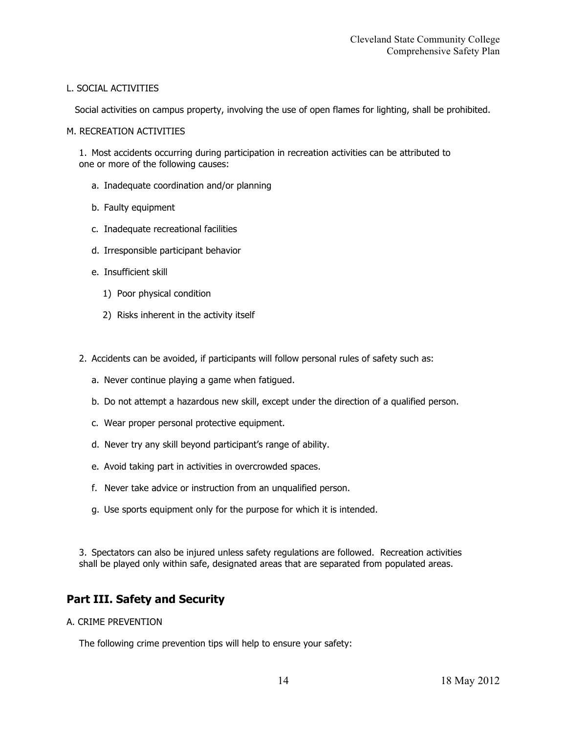#### L. SOCIAL ACTIVITIES

Social activities on campus property, involving the use of open flames for lighting, shall be prohibited.

#### M. RECREATION ACTIVITIES

1. Most accidents occurring during participation in recreation activities can be attributed to one or more of the following causes:

- a. Inadequate coordination and/or planning
- b. Faulty equipment
- c. Inadequate recreational facilities
- d. Irresponsible participant behavior
- e. Insufficient skill
	- 1) Poor physical condition
	- 2) Risks inherent in the activity itself
- 2. Accidents can be avoided, if participants will follow personal rules of safety such as:
	- a. Never continue playing a game when fatigued.
	- b. Do not attempt a hazardous new skill, except under the direction of a qualified person.
	- c. Wear proper personal protective equipment.
	- d. Never try any skill beyond participant's range of ability.
	- e. Avoid taking part in activities in overcrowded spaces.
	- f. Never take advice or instruction from an unqualified person.
	- g. Use sports equipment only for the purpose for which it is intended.

3. Spectators can also be injured unless safety regulations are followed. Recreation activities shall be played only within safe, designated areas that are separated from populated areas.

## **Part III. Safety and Security**

#### A. CRIME PREVENTION

The following crime prevention tips will help to ensure your safety: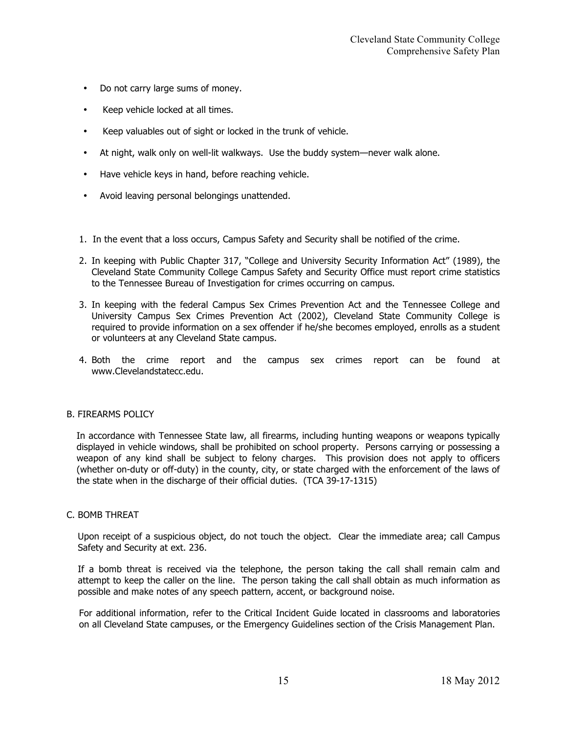- Do not carry large sums of money.
- Keep vehicle locked at all times.
- Keep valuables out of sight or locked in the trunk of vehicle.
- At night, walk only on well-lit walkways. Use the buddy system—never walk alone.
- Have vehicle keys in hand, before reaching vehicle.
- Avoid leaving personal belongings unattended.
- 1. In the event that a loss occurs, Campus Safety and Security shall be notified of the crime.
- 2. In keeping with Public Chapter 317, "College and University Security Information Act" (1989), the Cleveland State Community College Campus Safety and Security Office must report crime statistics to the Tennessee Bureau of Investigation for crimes occurring on campus.
- 3. In keeping with the federal Campus Sex Crimes Prevention Act and the Tennessee College and University Campus Sex Crimes Prevention Act (2002), Cleveland State Community College is required to provide information on a sex offender if he/she becomes employed, enrolls as a student or volunteers at any Cleveland State campus.
- 4. Both the crime report and the campus sex crimes report can be found at www.Clevelandstatecc.edu.

#### B. FIREARMS POLICY

In accordance with Tennessee State law, all firearms, including hunting weapons or weapons typically displayed in vehicle windows, shall be prohibited on school property. Persons carrying or possessing a weapon of any kind shall be subject to felony charges. This provision does not apply to officers (whether on-duty or off-duty) in the county, city, or state charged with the enforcement of the laws of the state when in the discharge of their official duties. (TCA 39-17-1315)

#### C. BOMB THREAT

Upon receipt of a suspicious object, do not touch the object. Clear the immediate area; call Campus Safety and Security at ext. 236.

If a bomb threat is received via the telephone, the person taking the call shall remain calm and attempt to keep the caller on the line. The person taking the call shall obtain as much information as possible and make notes of any speech pattern, accent, or background noise.

For additional information, refer to the Critical Incident Guide located in classrooms and laboratories on all Cleveland State campuses, or the Emergency Guidelines section of the Crisis Management Plan.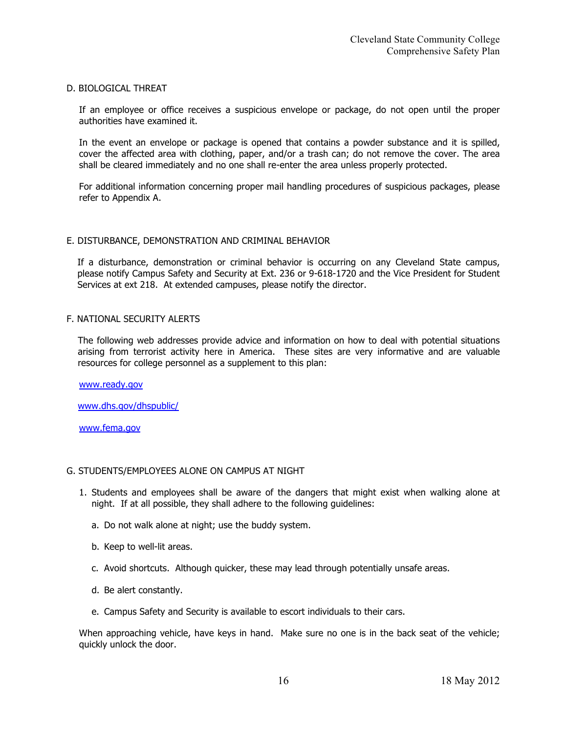#### D. BIOLOGICAL THREAT

If an employee or office receives a suspicious envelope or package, do not open until the proper authorities have examined it.

In the event an envelope or package is opened that contains a powder substance and it is spilled, cover the affected area with clothing, paper, and/or a trash can; do not remove the cover. The area shall be cleared immediately and no one shall re-enter the area unless properly protected.

For additional information concerning proper mail handling procedures of suspicious packages, please refer to Appendix A.

#### E. DISTURBANCE, DEMONSTRATION AND CRIMINAL BEHAVIOR

If a disturbance, demonstration or criminal behavior is occurring on any Cleveland State campus, please notify Campus Safety and Security at Ext. 236 or 9-618-1720 and the Vice President for Student Services at ext 218. At extended campuses, please notify the director.

#### F. NATIONAL SECURITY ALERTS

The following web addresses provide advice and information on how to deal with potential situations arising from terrorist activity here in America. These sites are very informative and are valuable resources for college personnel as a supplement to this plan:

www.ready.gov

www.dhs.gov/dhspublic/

www.fema.gov

#### G. STUDENTS/EMPLOYEES ALONE ON CAMPUS AT NIGHT

- 1. Students and employees shall be aware of the dangers that might exist when walking alone at night. If at all possible, they shall adhere to the following guidelines:
	- a. Do not walk alone at night; use the buddy system.
	- b. Keep to well-lit areas.
	- c. Avoid shortcuts. Although quicker, these may lead through potentially unsafe areas.
	- d. Be alert constantly.
	- e. Campus Safety and Security is available to escort individuals to their cars.

When approaching vehicle, have keys in hand. Make sure no one is in the back seat of the vehicle; quickly unlock the door.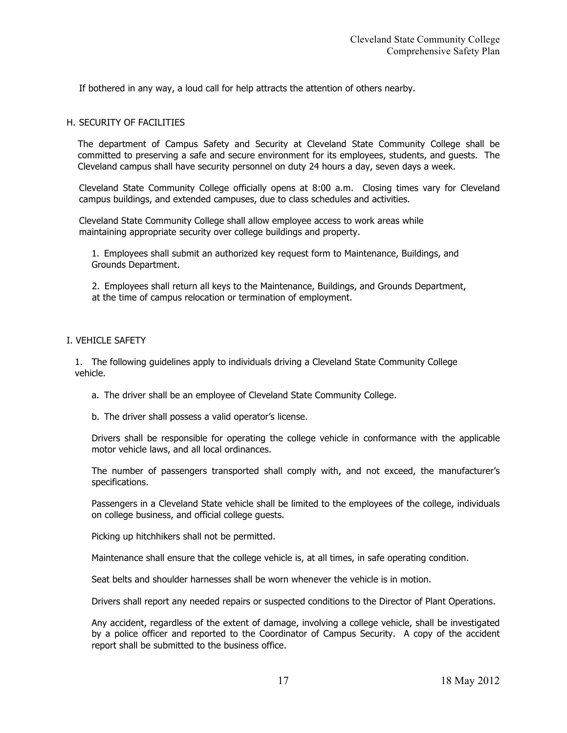If bothered in any way, a loud call for help attracts the attention of others nearby.

#### H. SECURITY OF FACILITIES

The department of Campus Safety and Security at Cleveland State Community College shall be committed to preserving a safe and secure environment for its employees, students, and guests. The Cleveland campus shall have security personnel on duty 24 hours a day, seven days a week.

Cleveland State Community College officially opens at 8:00 a.m. Closing times vary for Cleveland campus buildings, and extended campuses, due to class schedules and activities.

Cleveland State Community College shall allow employee access to work areas while maintaining appropriate security over college buildings and property.

1. Employees shall submit an authorized key request form to Maintenance, Buildings, and Grounds Department.

2. Employees shall return all keys to the Maintenance, Buildings, and Grounds Department, at the time of campus relocation or termination of employment.

#### I. VEHICLE SAFETY

1. The following guidelines apply to individuals driving a Cleveland State Community College vehicle.

- a. The driver shall be an employee of Cleveland State Community College.
- b. The driver shall possess a valid operator's license.

Drivers shall be responsible for operating the college vehicle in conformance with the applicable motor vehicle laws, and all local ordinances.

The number of passengers transported shall comply with, and not exceed, the manufacturer's specifications.

Passengers in a Cleveland State vehicle shall be limited to the employees of the college, individuals on college business, and official college guests.

Picking up hitchhikers shall not be permitted.

Maintenance shall ensure that the college vehicle is, at all times, in safe operating condition.

Seat belts and shoulder harnesses shall be worn whenever the vehicle is in motion.

Drivers shall report any needed repairs or suspected conditions to the Director of Plant Operations.

Any accident, regardless of the extent of damage, involving a college vehicle, shall be investigated by a police officer and reported to the Coordinator of Campus Security. A copy of the accident report shall be submitted to the business office.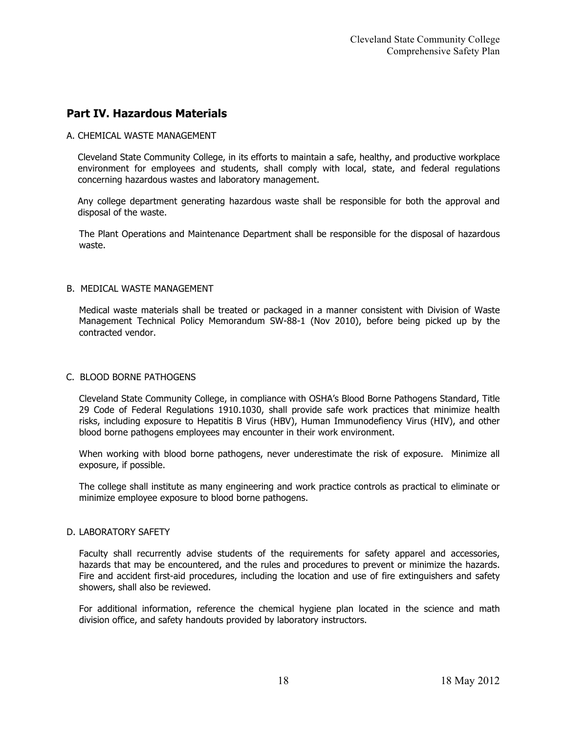## **Part IV. Hazardous Materials**

#### A. CHEMICAL WASTE MANAGEMENT

Cleveland State Community College, in its efforts to maintain a safe, healthy, and productive workplace environment for employees and students, shall comply with local, state, and federal regulations concerning hazardous wastes and laboratory management.

Any college department generating hazardous waste shall be responsible for both the approval and disposal of the waste.

The Plant Operations and Maintenance Department shall be responsible for the disposal of hazardous waste.

#### B. MEDICAL WASTE MANAGEMENT

Medical waste materials shall be treated or packaged in a manner consistent with Division of Waste Management Technical Policy Memorandum SW-88-1 (Nov 2010), before being picked up by the contracted vendor.

#### C. BLOOD BORNE PATHOGENS

Cleveland State Community College, in compliance with OSHA's Blood Borne Pathogens Standard, Title 29 Code of Federal Regulations 1910.1030, shall provide safe work practices that minimize health risks, including exposure to Hepatitis B Virus (HBV), Human Immunodefiency Virus (HIV), and other blood borne pathogens employees may encounter in their work environment.

When working with blood borne pathogens, never underestimate the risk of exposure. Minimize all exposure, if possible.

The college shall institute as many engineering and work practice controls as practical to eliminate or minimize employee exposure to blood borne pathogens.

#### D. LABORATORY SAFETY

Faculty shall recurrently advise students of the requirements for safety apparel and accessories, hazards that may be encountered, and the rules and procedures to prevent or minimize the hazards. Fire and accident first-aid procedures, including the location and use of fire extinguishers and safety showers, shall also be reviewed.

For additional information, reference the chemical hygiene plan located in the science and math division office, and safety handouts provided by laboratory instructors.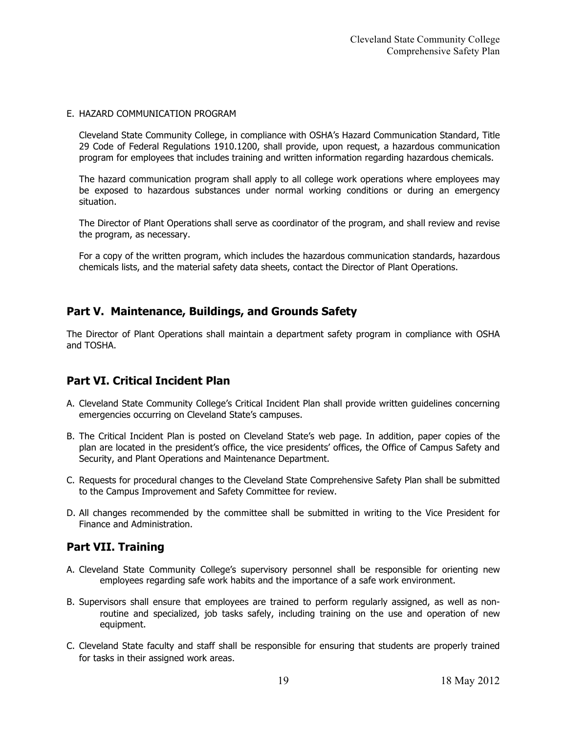#### E. HAZARD COMMUNICATION PROGRAM

Cleveland State Community College, in compliance with OSHA's Hazard Communication Standard, Title 29 Code of Federal Regulations 1910.1200, shall provide, upon request, a hazardous communication program for employees that includes training and written information regarding hazardous chemicals.

The hazard communication program shall apply to all college work operations where employees may be exposed to hazardous substances under normal working conditions or during an emergency situation.

The Director of Plant Operations shall serve as coordinator of the program, and shall review and revise the program, as necessary.

For a copy of the written program, which includes the hazardous communication standards, hazardous chemicals lists, and the material safety data sheets, contact the Director of Plant Operations.

## **Part V. Maintenance, Buildings, and Grounds Safety**

The Director of Plant Operations shall maintain a department safety program in compliance with OSHA and TOSHA.

## **Part VI. Critical Incident Plan**

- A. Cleveland State Community College's Critical Incident Plan shall provide written guidelines concerning emergencies occurring on Cleveland State's campuses.
- B. The Critical Incident Plan is posted on Cleveland State's web page. In addition, paper copies of the plan are located in the president's office, the vice presidents' offices, the Office of Campus Safety and Security, and Plant Operations and Maintenance Department.
- C. Requests for procedural changes to the Cleveland State Comprehensive Safety Plan shall be submitted to the Campus Improvement and Safety Committee for review.
- D. All changes recommended by the committee shall be submitted in writing to the Vice President for Finance and Administration.

## **Part VII. Training**

- A. Cleveland State Community College's supervisory personnel shall be responsible for orienting new employees regarding safe work habits and the importance of a safe work environment.
- B. Supervisors shall ensure that employees are trained to perform regularly assigned, as well as nonroutine and specialized, job tasks safely, including training on the use and operation of new equipment.
- C. Cleveland State faculty and staff shall be responsible for ensuring that students are properly trained for tasks in their assigned work areas.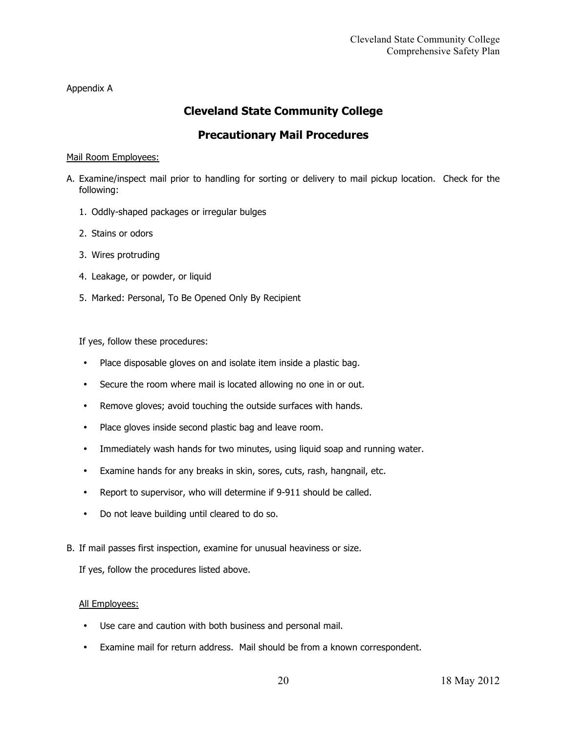Appendix A

## **Cleveland State Community College**

## **Precautionary Mail Procedures**

#### Mail Room Employees:

- A. Examine/inspect mail prior to handling for sorting or delivery to mail pickup location. Check for the following:
	- 1. Oddly-shaped packages or irregular bulges
	- 2. Stains or odors
	- 3. Wires protruding
	- 4. Leakage, or powder, or liquid
	- 5. Marked: Personal, To Be Opened Only By Recipient

If yes, follow these procedures:

- Place disposable gloves on and isolate item inside a plastic bag.
- Secure the room where mail is located allowing no one in or out.
- Remove gloves; avoid touching the outside surfaces with hands.
- Place gloves inside second plastic bag and leave room.
- Immediately wash hands for two minutes, using liquid soap and running water.
- Examine hands for any breaks in skin, sores, cuts, rash, hangnail, etc.
- Report to supervisor, who will determine if 9-911 should be called.
- Do not leave building until cleared to do so.
- B. If mail passes first inspection, examine for unusual heaviness or size.

If yes, follow the procedures listed above.

#### All Employees:

- Use care and caution with both business and personal mail.
- Examine mail for return address. Mail should be from a known correspondent.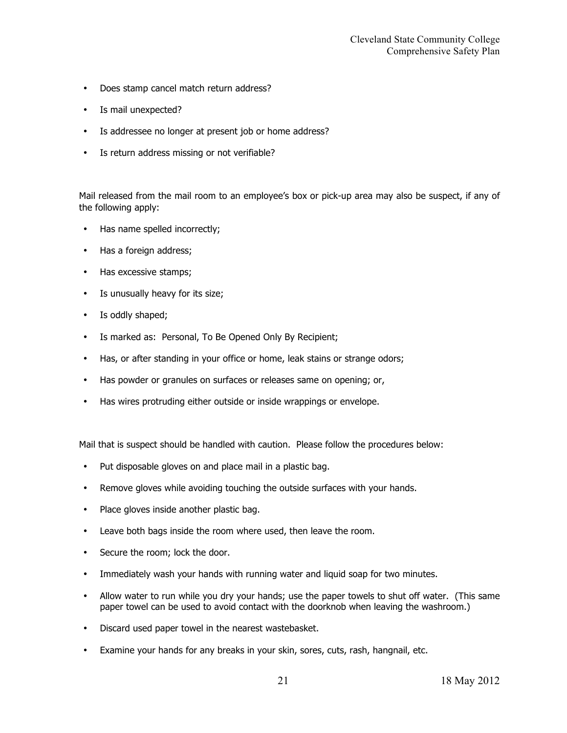- Does stamp cancel match return address?
- Is mail unexpected?
- Is addressee no longer at present job or home address?
- Is return address missing or not verifiable?

Mail released from the mail room to an employee's box or pick-up area may also be suspect, if any of the following apply:

- Has name spelled incorrectly;
- Has a foreign address;
- Has excessive stamps;
- Is unusually heavy for its size;
- Is oddly shaped;
- Is marked as: Personal, To Be Opened Only By Recipient;
- Has, or after standing in your office or home, leak stains or strange odors;
- Has powder or granules on surfaces or releases same on opening; or,
- Has wires protruding either outside or inside wrappings or envelope.

Mail that is suspect should be handled with caution. Please follow the procedures below:

- Put disposable gloves on and place mail in a plastic bag.
- Remove gloves while avoiding touching the outside surfaces with your hands.
- Place gloves inside another plastic bag.
- Leave both bags inside the room where used, then leave the room.
- Secure the room; lock the door.
- Immediately wash your hands with running water and liquid soap for two minutes.
- Allow water to run while you dry your hands; use the paper towels to shut off water. (This same paper towel can be used to avoid contact with the doorknob when leaving the washroom.)
- Discard used paper towel in the nearest wastebasket.
- Examine your hands for any breaks in your skin, sores, cuts, rash, hangnail, etc.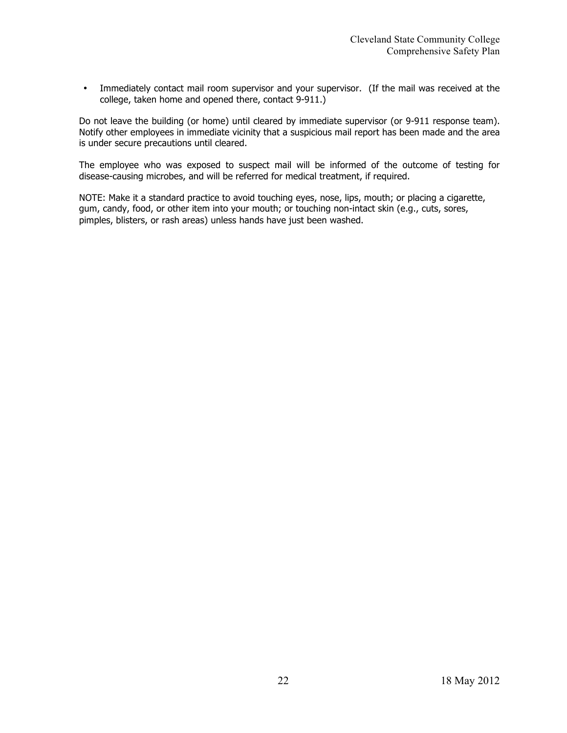• Immediately contact mail room supervisor and your supervisor. (If the mail was received at the college, taken home and opened there, contact 9-911.)

Do not leave the building (or home) until cleared by immediate supervisor (or 9-911 response team). Notify other employees in immediate vicinity that a suspicious mail report has been made and the area is under secure precautions until cleared.

The employee who was exposed to suspect mail will be informed of the outcome of testing for disease-causing microbes, and will be referred for medical treatment, if required.

NOTE: Make it a standard practice to avoid touching eyes, nose, lips, mouth; or placing a cigarette, gum, candy, food, or other item into your mouth; or touching non-intact skin (e.g., cuts, sores, pimples, blisters, or rash areas) unless hands have just been washed.